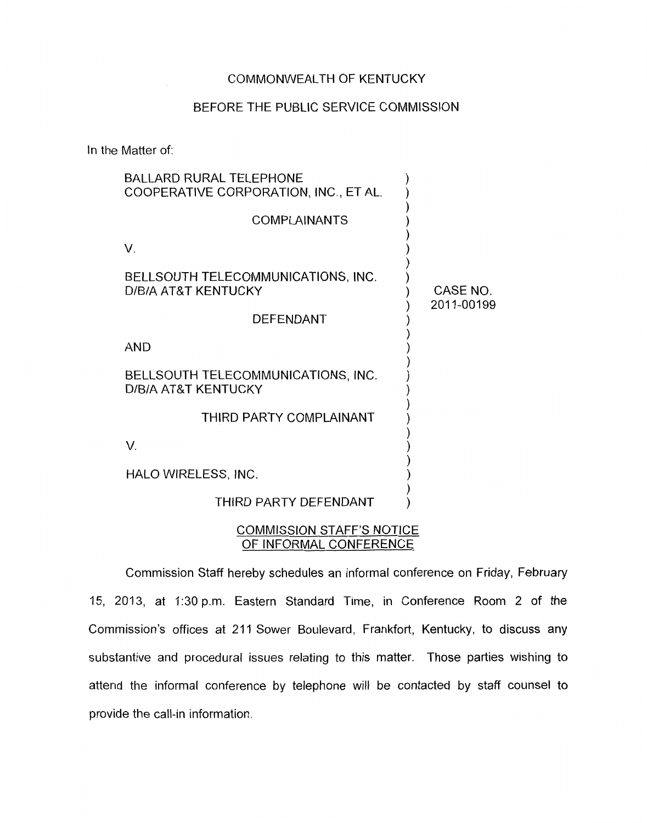## COMMONWEALTH OF KENTUCKY

## BEFORE THE PUBLIC SERVICE COMMISSION

In the Matter of:

| <b>BALLARD RURAL TELEPHONE</b><br>COOPERATIVE CORPORATION, INC., ET AL. |                        |
|-------------------------------------------------------------------------|------------------------|
| <b>COMPLAINANTS</b>                                                     |                        |
| V.                                                                      |                        |
| BELLSOUTH TELECOMMUNICATIONS, INC.<br>D/B/A AT&T KENTUCKY               | CASE NO.<br>2011-00199 |
| <b>DEFENDANT</b>                                                        |                        |
| <b>AND</b>                                                              |                        |
| BELLSOUTH TELECOMMUNICATIONS, INC.<br>D/B/A AT&T KENTUCKY               |                        |
| THIRD PARTY COMPLAINANT                                                 |                        |
| V.                                                                      |                        |
| HALO WIRELESS, INC.                                                     |                        |
| THIRD PARTY DEFENDANT                                                   |                        |
|                                                                         |                        |

## COMMISSION STAFF'S NOTICE OF INFORMAL CONFERENCE

Commission Staff hereby schedules an informal conference on Friday, February 15, 2013, at 1:30 p.m. Eastern Standard Time, in Conference Room 2 of the Commission's offices at 211 Sower Boulevard, Frankfort, Kentucky, to discuss any substantive and procedural issues relating to this matter. Those parties wishing to attend the informal conference by telephone will be contacted by staff counsel to provide the call-in information.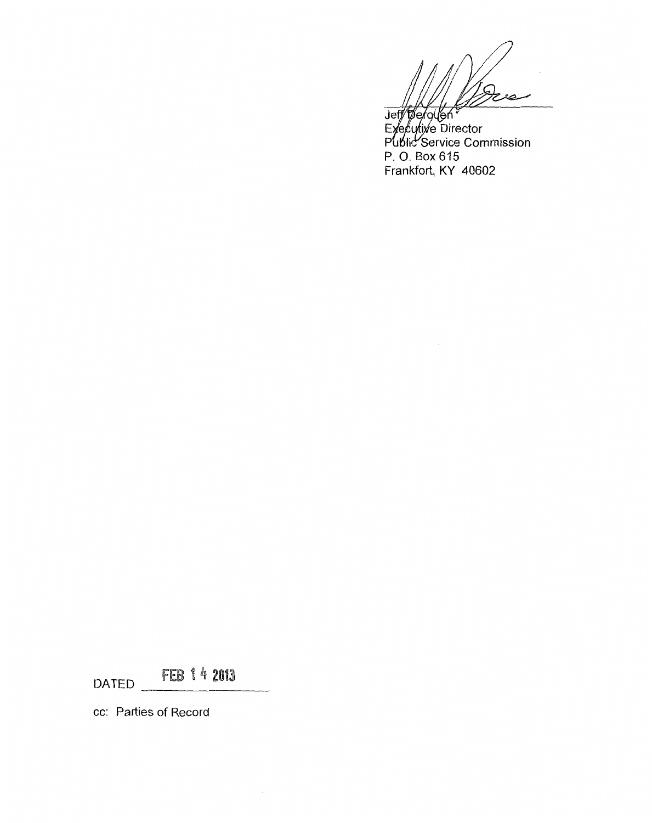Jeff Tefollen<br>Executive Director<br>Public Service Commission P. *0.* Box 615 Frankfort, KY 40602

FEB 1 4 2013 DATED

cc: Parties of Record